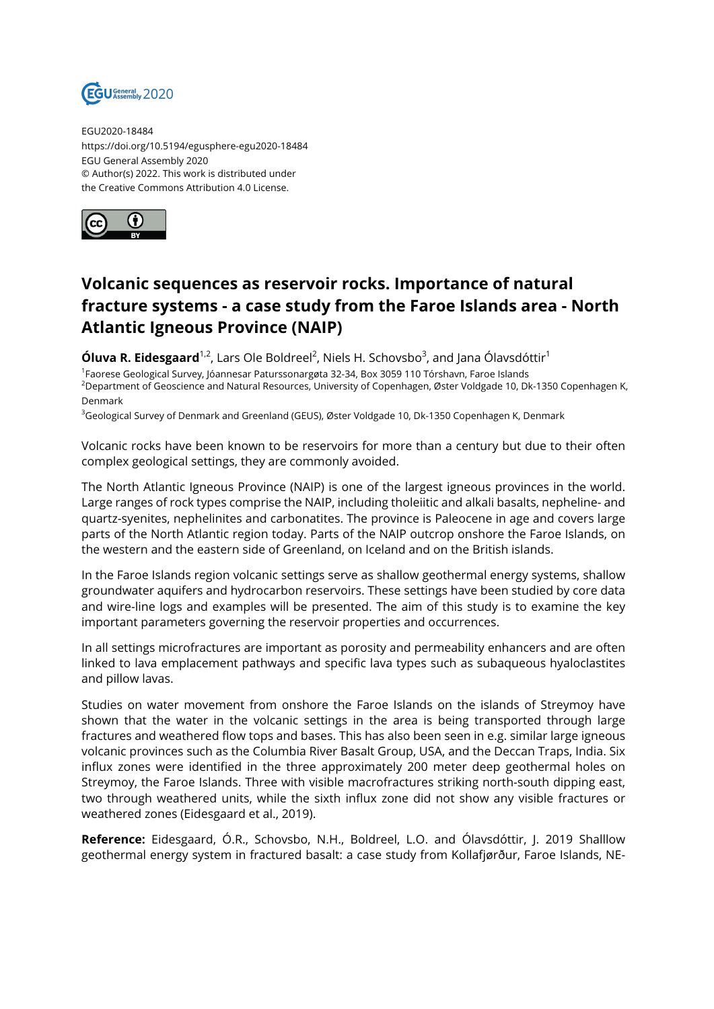

EGU2020-18484 https://doi.org/10.5194/egusphere-egu2020-18484 EGU General Assembly 2020 © Author(s) 2022. This work is distributed under the Creative Commons Attribution 4.0 License.



## **Volcanic sequences as reservoir rocks. Importance of natural fracture systems - a case study from the Faroe Islands area - North Atlantic Igneous Province (NAIP)**

**Óluva R. Eidesgaard**<sup>1,2</sup>, Lars Ole Boldreel<sup>2</sup>, Niels H. Schovsbo<sup>3</sup>, and Jana Ólavsdóttir<sup>1</sup>

1 Faorese Geological Survey, Jóannesar Paturssonargøta 32-34, Box 3059 110 Tórshavn, Faroe Islands <sup>2</sup>Department of Geoscience and Natural Resources, University of Copenhagen, Øster Voldgade 10, Dk-1350 Copenhagen K,

Denmark

<sup>3</sup>Geological Survey of Denmark and Greenland (GEUS), Øster Voldgade 10, Dk-1350 Copenhagen K, Denmark

Volcanic rocks have been known to be reservoirs for more than a century but due to their often complex geological settings, they are commonly avoided.

The North Atlantic Igneous Province (NAIP) is one of the largest igneous provinces in the world. Large ranges of rock types comprise the NAIP, including tholeiitic and alkali basalts, nepheline- and quartz-syenites, nephelinites and carbonatites. The province is Paleocene in age and covers large parts of the North Atlantic region today. Parts of the NAIP outcrop onshore the Faroe Islands, on the western and the eastern side of Greenland, on Iceland and on the British islands.

In the Faroe Islands region volcanic settings serve as shallow geothermal energy systems, shallow groundwater aquifers and hydrocarbon reservoirs. These settings have been studied by core data and wire-line logs and examples will be presented. The aim of this study is to examine the key important parameters governing the reservoir properties and occurrences.

In all settings microfractures are important as porosity and permeability enhancers and are often linked to lava emplacement pathways and specific lava types such as subaqueous hyaloclastites and pillow lavas.

Studies on water movement from onshore the Faroe Islands on the islands of Streymoy have shown that the water in the volcanic settings in the area is being transported through large fractures and weathered flow tops and bases. This has also been seen in e.g. similar large igneous volcanic provinces such as the Columbia River Basalt Group, USA, and the Deccan Traps, India. Six influx zones were identified in the three approximately 200 meter deep geothermal holes on Streymoy, the Faroe Islands. Three with visible macrofractures striking north-south dipping east, two through weathered units, while the sixth influx zone did not show any visible fractures or weathered zones (Eidesgaard et al., 2019).

**Reference:** Eidesgaard, Ó.R., Schovsbo, N.H., Boldreel, L.O. and Ólavsdóttir, J. 2019 Shalllow geothermal energy system in fractured basalt: a case study from Kollafjørður, Faroe Islands, NE-